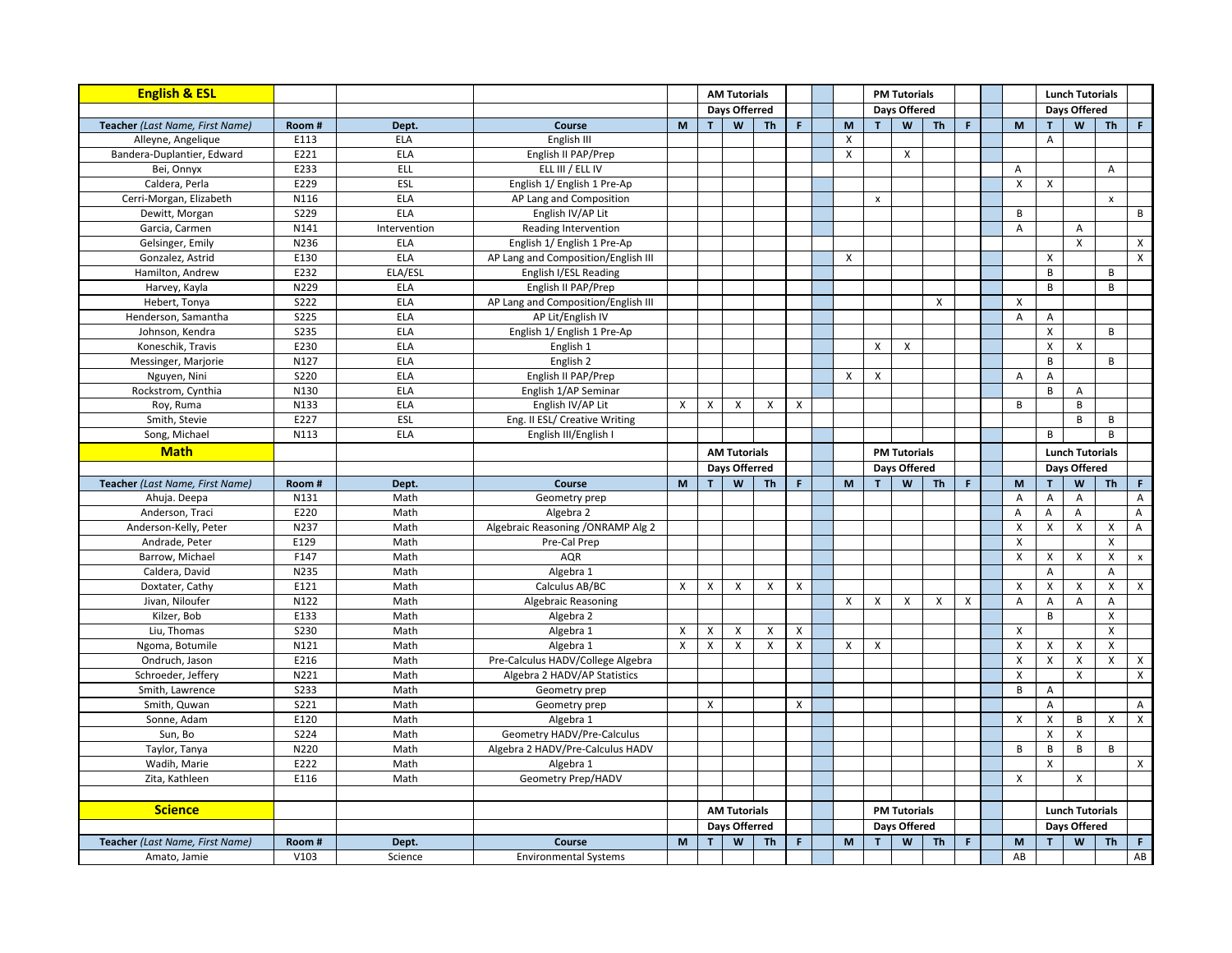| <b>English &amp; ESL</b>        |                     |              |                                        |        |                   | <b>AM Tutorials</b>  |                           |                           |                                                                                       |                |                     |           | <b>PM Tutorials</b>  |                           |                           |                        |                           |                    | <b>Lunch Tutorials</b> |  |  |                     |  |  |
|---------------------------------|---------------------|--------------|----------------------------------------|--------|-------------------|----------------------|---------------------------|---------------------------|---------------------------------------------------------------------------------------|----------------|---------------------|-----------|----------------------|---------------------------|---------------------------|------------------------|---------------------------|--------------------|------------------------|--|--|---------------------|--|--|
|                                 |                     |              |                                        |        |                   | <b>Days Offerred</b> |                           |                           |                                                                                       |                | <b>Days Offered</b> |           |                      |                           |                           | Days Offered           |                           |                    |                        |  |  |                     |  |  |
| Teacher (Last Name, First Name) | Room#               | Dept.        | Course                                 | M      | T                 | W                    | <b>Th</b>                 | $\mathsf F$               | $\mathsf{M}% _{T}=\mathsf{M}_{T}\!\left( a,b\right) ,\ \mathsf{M}_{T}=\mathsf{M}_{T}$ | T              | W                   | <b>Th</b> | F                    | M                         | т                         | W                      | <b>Th</b>                 | $\mathbb F$        |                        |  |  |                     |  |  |
| Alleyne, Angelique              | E113                | <b>ELA</b>   | English III                            |        |                   |                      |                           |                           | X                                                                                     |                |                     |           |                      |                           | $\boldsymbol{\mathsf{A}}$ |                        |                           |                    |                        |  |  |                     |  |  |
| Bandera-Duplantier, Edward      | E221                | <b>ELA</b>   | English II PAP/Prep                    |        |                   |                      |                           |                           | X                                                                                     |                | X                   |           |                      |                           |                           |                        |                           |                    |                        |  |  |                     |  |  |
| Bei, Onnyx                      | E233                | ELL          | ELL III / ELL IV                       |        |                   |                      |                           |                           |                                                                                       |                |                     |           |                      | $\overline{A}$            |                           |                        | A                         |                    |                        |  |  |                     |  |  |
| Caldera, Perla                  | E229                | ESL          | English 1/ English 1 Pre-Ap            |        |                   |                      |                           |                           |                                                                                       |                |                     |           |                      | $\boldsymbol{\mathsf{X}}$ | $\mathsf{X}$              |                        |                           |                    |                        |  |  |                     |  |  |
| Cerri-Morgan, Elizabeth         | N116                | <b>ELA</b>   | AP Lang and Composition                |        |                   |                      |                           |                           |                                                                                       | $\pmb{\chi}$   |                     |           |                      |                           |                           |                        | $\boldsymbol{\mathsf{x}}$ |                    |                        |  |  |                     |  |  |
| Dewitt, Morgan                  | <b>S229</b>         | <b>ELA</b>   | English IV/AP Lit                      |        |                   |                      |                           |                           |                                                                                       |                |                     |           |                      | B                         |                           |                        |                           | B                  |                        |  |  |                     |  |  |
| Garcia, Carmen                  | N141                | Intervention | Reading Intervention                   |        |                   |                      |                           |                           |                                                                                       |                |                     |           |                      | $\overline{A}$            |                           | Α                      |                           |                    |                        |  |  |                     |  |  |
| Gelsinger, Emily                | N236                | <b>ELA</b>   | English 1/ English 1 Pre-Ap            |        |                   |                      |                           |                           |                                                                                       |                |                     |           |                      |                           |                           | $\mathsf{x}$           |                           | $\mathsf{x}$       |                        |  |  |                     |  |  |
| Gonzalez, Astrid                | E130                | <b>ELA</b>   | AP Lang and Composition/English III    |        |                   |                      |                           |                           | X                                                                                     |                |                     |           |                      |                           | $\pmb{\times}$            |                        |                           | $\mathsf{X}$       |                        |  |  |                     |  |  |
| Hamilton, Andrew                | E232                | ELA/ESI      | English I/ESL Reading                  |        |                   |                      |                           |                           |                                                                                       |                |                     |           |                      |                           | B                         |                        | B                         |                    |                        |  |  |                     |  |  |
| Harvey, Kayla                   | N229                | <b>ELA</b>   | English II PAP/Prep                    |        |                   |                      |                           |                           |                                                                                       |                |                     |           |                      |                           | B                         |                        | B                         |                    |                        |  |  |                     |  |  |
| Hebert, Tonya                   | S222                | <b>ELA</b>   | AP Lang and Composition/English III    |        |                   |                      |                           |                           |                                                                                       |                |                     | X         |                      | $\boldsymbol{\mathsf{x}}$ |                           |                        |                           |                    |                        |  |  |                     |  |  |
| Henderson, Samantha             | $\overline{5225}$   | <b>ELA</b>   | AP Lit/English IV                      |        |                   |                      |                           |                           |                                                                                       |                |                     |           |                      | $\overline{A}$            | A                         |                        |                           |                    |                        |  |  |                     |  |  |
| Johnson, Kendra                 | <b>S235</b>         | <b>ELA</b>   | English 1/ English 1 Pre-Ap            |        |                   |                      |                           |                           |                                                                                       |                |                     |           |                      |                           | $\pmb{\times}$            |                        | B                         |                    |                        |  |  |                     |  |  |
| Koneschik, Travis               | E230                | <b>ELA</b>   | English 1                              |        |                   |                      |                           |                           |                                                                                       | X              | X                   |           |                      |                           | $\pmb{\chi}$              | X                      |                           |                    |                        |  |  |                     |  |  |
| Messinger, Marjorie             | N127                | <b>ELA</b>   | English 2                              |        |                   |                      |                           |                           |                                                                                       |                |                     |           |                      |                           | $\overline{B}$            |                        | B                         |                    |                        |  |  |                     |  |  |
| Nguyen, Nini                    | <b>S220</b>         | <b>ELA</b>   | English II PAP/Prep                    |        |                   |                      |                           |                           | X                                                                                     | X              |                     |           |                      | $\overline{A}$            | Α                         |                        |                           |                    |                        |  |  |                     |  |  |
| Rockstrom, Cynthia              | N130                | <b>ELA</b>   | English 1/AP Seminar                   |        |                   |                      |                           |                           |                                                                                       |                |                     |           |                      |                           | B                         | Α                      |                           |                    |                        |  |  |                     |  |  |
| Roy, Ruma                       | N133                | <b>ELA</b>   | English IV/AP Lit                      | X      | X                 | X                    | $\boldsymbol{\mathsf{X}}$ | $\pmb{\times}$            |                                                                                       |                |                     |           |                      | $\overline{B}$            |                           | $\, {\sf B}$           |                           |                    |                        |  |  |                     |  |  |
| Smith, Stevie                   | E227                | ESL          | Eng. II ESL/ Creative Writing          |        |                   |                      |                           |                           |                                                                                       |                |                     |           |                      |                           |                           | B                      | B                         |                    |                        |  |  |                     |  |  |
| Song, Michael                   | N113                | <b>ELA</b>   | English III/English I                  |        |                   |                      |                           |                           |                                                                                       |                |                     |           |                      |                           | B                         |                        | B                         |                    |                        |  |  |                     |  |  |
| <b>Math</b>                     |                     |              |                                        |        |                   |                      |                           |                           |                                                                                       |                | <b>PM Tutorials</b> |           |                      |                           |                           | <b>Lunch Tutorials</b> |                           |                    |                        |  |  |                     |  |  |
|                                 |                     |              |                                        |        |                   |                      | <b>AM Tutorials</b>       |                           |                                                                                       |                |                     |           | <b>Davs Offerred</b> |                           |                           |                        | <b>Davs Offered</b>       |                    |                        |  |  | <b>Davs Offered</b> |  |  |
| Teacher (Last Name, First Name) | Room#               | Dept.        | Course                                 | M      | $\mathbf{T}$      | W                    | <b>Th</b>                 | $\mathbf{F}$              | M                                                                                     | $\mathbf{r}$   | W                   | <b>Th</b> | F.                   | M                         | T                         | W                      | <b>Th</b>                 | F.                 |                        |  |  |                     |  |  |
| Ahuja. Deepa                    | N131                | Math         | Geometry prep                          |        |                   |                      |                           |                           |                                                                                       |                |                     |           |                      | $\overline{A}$            | Α                         | A                      |                           | A                  |                        |  |  |                     |  |  |
| Anderson, Traci                 | E220                | Math         | Algebra 2                              |        |                   |                      |                           |                           |                                                                                       |                |                     |           |                      | Α                         | A                         | Α                      |                           | $\overline{A}$     |                        |  |  |                     |  |  |
| Anderson-Kelly, Peter           | N237                | Math         | Algebraic Reasoning / ONRAMP Alg 2     |        |                   |                      |                           |                           |                                                                                       |                |                     |           |                      | $\boldsymbol{\mathsf{X}}$ | X                         | X                      | X                         | A                  |                        |  |  |                     |  |  |
| Andrade, Peter                  | E129                | Math         | Pre-Cal Prep                           |        |                   |                      |                           |                           |                                                                                       |                |                     |           |                      | $\boldsymbol{\mathsf{X}}$ |                           |                        | X                         |                    |                        |  |  |                     |  |  |
| Barrow, Michael                 | F147                | Math         | <b>AQR</b>                             |        |                   |                      |                           |                           |                                                                                       |                |                     |           |                      | $\pmb{\chi}$              | $\pmb{\times}$            | X                      | X                         | $\pmb{\mathsf{x}}$ |                        |  |  |                     |  |  |
| Caldera, David                  | N235                | Math         | Algebra 1                              |        |                   |                      |                           |                           |                                                                                       |                |                     |           |                      |                           | A                         |                        | A                         |                    |                        |  |  |                     |  |  |
| Doxtater, Cathy                 | E121                | Math         | Calculus AB/BC                         | X      | X                 | $\mathsf{x}$         | X                         | $\boldsymbol{\mathsf{x}}$ |                                                                                       |                |                     |           |                      | $\boldsymbol{\mathsf{X}}$ | $\boldsymbol{\mathsf{X}}$ | Χ                      | $\boldsymbol{\mathsf{X}}$ | $\mathsf{x}$       |                        |  |  |                     |  |  |
| Jivan, Niloufer                 | N122                | Math         | <b>Algebraic Reasoning</b>             |        |                   |                      |                           |                           | X                                                                                     | X              | X                   | X         | X                    | A                         | A                         | A                      | A                         |                    |                        |  |  |                     |  |  |
| Kilzer, Bob                     | E133                | Math         |                                        |        |                   |                      |                           |                           |                                                                                       |                |                     |           |                      |                           | B                         |                        | X                         |                    |                        |  |  |                     |  |  |
| Liu, Thomas                     | <b>S230</b>         |              | Algebra 2                              |        |                   |                      |                           |                           |                                                                                       |                |                     |           |                      | $\pmb{\chi}$              |                           |                        | X                         |                    |                        |  |  |                     |  |  |
|                                 | N121                | Math         | Algebra 1                              | X<br>X | X<br>$\pmb{\chi}$ | X<br>$\mathsf{x}$    | X<br>X                    | X<br>X                    |                                                                                       |                |                     |           |                      |                           |                           |                        | $\pmb{\mathsf{X}}$        |                    |                        |  |  |                     |  |  |
| Ngoma, Botumile                 | E216                | Math         | Algebra 1                              |        |                   |                      |                           |                           | X                                                                                     | $\pmb{\times}$ |                     |           |                      | $\boldsymbol{\mathsf{X}}$ | X                         | X                      |                           |                    |                        |  |  |                     |  |  |
| Ondruch, Jason                  |                     | Math         | Pre-Calculus HADV/College Algebra      |        |                   |                      |                           |                           |                                                                                       |                |                     |           |                      | $\boldsymbol{\mathsf{X}}$ | X                         | X                      | X                         | $\mathsf{x}$       |                        |  |  |                     |  |  |
| Schroeder, Jeffery              | N221                | Math         | Algebra 2 HADV/AP Statistics           |        |                   |                      |                           |                           |                                                                                       |                |                     |           |                      | $\mathsf{x}$              |                           | $\mathsf{x}$           |                           | $\mathsf{X}$       |                        |  |  |                     |  |  |
| Smith, Lawrence                 | <b>S233</b><br>S221 | Math         | Geometry prep                          |        |                   |                      |                           |                           |                                                                                       |                |                     |           |                      | B                         | Α                         |                        |                           |                    |                        |  |  |                     |  |  |
| Smith, Quwan                    |                     | Math         | Geometry prep                          |        | Χ                 |                      |                           | X                         |                                                                                       |                |                     |           |                      |                           | $\overline{A}$            |                        |                           | A                  |                        |  |  |                     |  |  |
| Sonne, Adam                     | E120                | Math         | Algebra 1                              |        |                   |                      |                           |                           |                                                                                       |                |                     |           |                      | $\boldsymbol{\mathsf{X}}$ | X                         | B                      | X                         | $\mathsf{x}$       |                        |  |  |                     |  |  |
| Sun, Bo                         | <b>S224</b>         | Math         | Geometry HADV/Pre-Calculus             |        |                   |                      |                           |                           |                                                                                       |                |                     |           |                      |                           | $\boldsymbol{\mathsf{X}}$ | X                      |                           |                    |                        |  |  |                     |  |  |
| Taylor, Tanya                   | N220                | Math         | Algebra 2 HADV/Pre-Calculus HADV       |        |                   |                      |                           |                           |                                                                                       |                |                     |           |                      | B                         | B                         | B                      | B                         |                    |                        |  |  |                     |  |  |
| Wadih, Marie                    | E222                | Math         | Algebra 1                              |        |                   |                      |                           |                           |                                                                                       |                |                     |           |                      |                           | $\pmb{\times}$            |                        |                           | $\mathsf{X}$       |                        |  |  |                     |  |  |
| Zita, Kathleen                  | E116                | Math         | Geometry Prep/HADV                     |        |                   |                      |                           |                           |                                                                                       |                |                     |           |                      | $\pmb{\times}$            |                           | X                      |                           |                    |                        |  |  |                     |  |  |
|                                 |                     |              |                                        |        |                   |                      |                           |                           |                                                                                       |                |                     |           |                      |                           |                           |                        |                           |                    |                        |  |  |                     |  |  |
|                                 |                     |              |                                        |        |                   |                      |                           |                           |                                                                                       |                |                     |           |                      |                           |                           |                        |                           |                    |                        |  |  |                     |  |  |
| <b>Science</b>                  |                     |              |                                        |        |                   | <b>AM Tutorials</b>  |                           |                           |                                                                                       |                | <b>PM Tutorials</b> |           |                      |                           |                           | <b>Lunch Tutorials</b> |                           |                    |                        |  |  |                     |  |  |
|                                 |                     |              |                                        |        |                   | Days Offerred        |                           |                           |                                                                                       |                | <b>Days Offered</b> |           |                      |                           |                           | Days Offered           |                           |                    |                        |  |  |                     |  |  |
| Teacher (Last Name, First Name) | Room#               | Dept.        | Course<br><b>Environmental Systems</b> | M      | T                 | W                    | <b>Th</b>                 | $\mathbb F$               | M                                                                                     | T              | W                   | Th        | $\mathsf F$          | $\mathsf{M}\xspace$       | $\mathbf{T}$              | W                      | <b>Th</b>                 | $\Gamma$<br>AB     |                        |  |  |                     |  |  |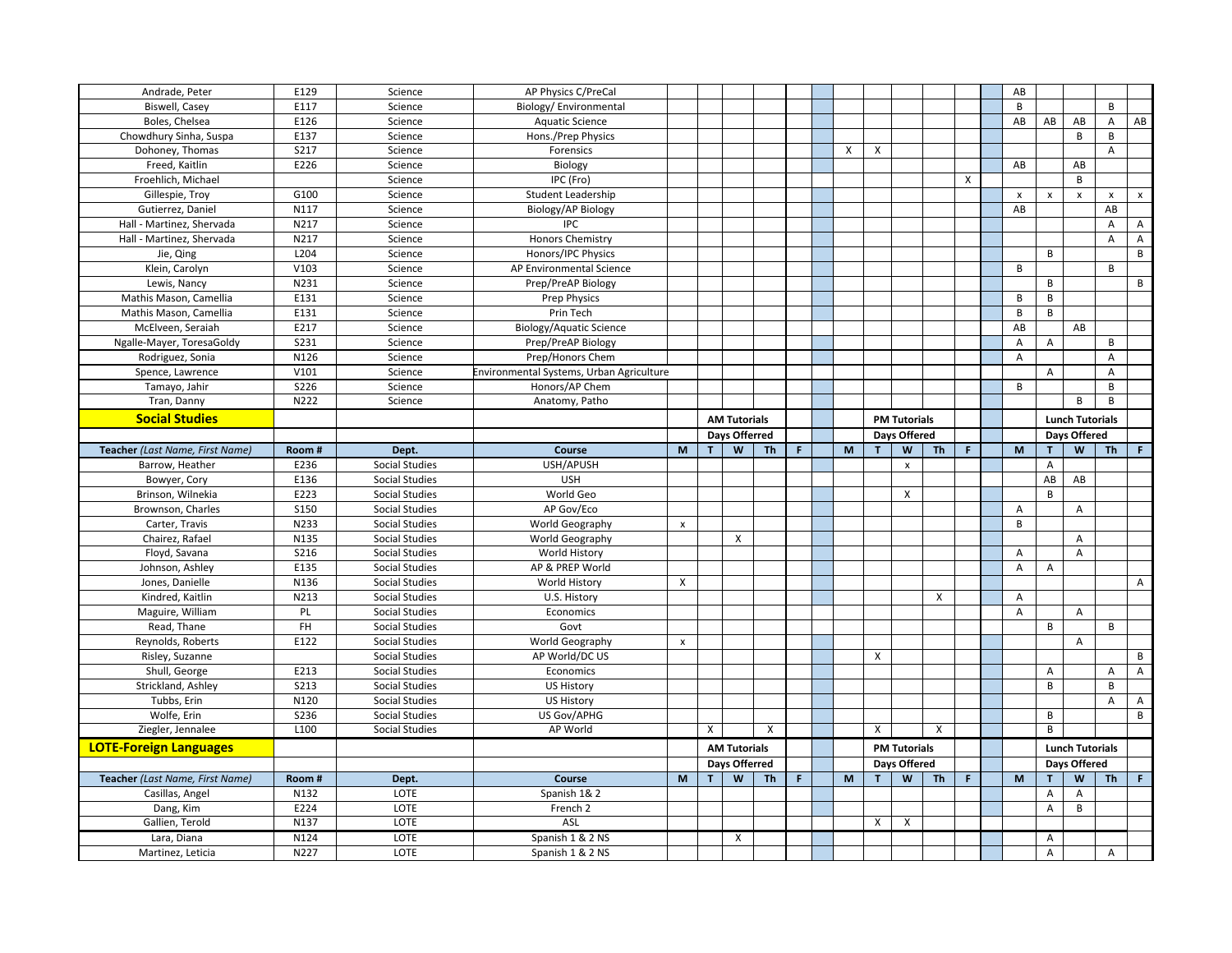| Andrade, Peter                   | E129         | Science               | AP Physics C/PreCal                      |                    |             |                     |           |             |   |                     |                           |    |              | AB                        |                |                           |                           |                    |  |                     |  |  |
|----------------------------------|--------------|-----------------------|------------------------------------------|--------------------|-------------|---------------------|-----------|-------------|---|---------------------|---------------------------|----|--------------|---------------------------|----------------|---------------------------|---------------------------|--------------------|--|---------------------|--|--|
| <b>Biswell, Casey</b>            | E117         | Science               | Biology/Environmental                    |                    |             |                     |           |             |   |                     |                           |    |              | B                         |                |                           | B                         |                    |  |                     |  |  |
| Boles, Chelsea                   | E126         | Science               | <b>Aquatic Science</b>                   |                    |             |                     |           |             |   |                     |                           |    |              | AB                        | AB             | AB                        | A                         | AB                 |  |                     |  |  |
| Chowdhury Sinha, Suspa           | E137         | Science               | Hons./Prep Physics                       |                    |             |                     |           |             |   |                     |                           |    |              |                           |                | B                         | B                         |                    |  |                     |  |  |
| Dohoney, Thomas                  | <b>S217</b>  | Science               | Forensics                                |                    |             |                     |           |             | X | X                   |                           |    |              |                           |                |                           | A                         |                    |  |                     |  |  |
| Freed, Kaitlin                   | E226         | Science               | Biology                                  |                    |             |                     |           |             |   |                     |                           |    |              | AB                        |                | AB                        |                           |                    |  |                     |  |  |
| Froehlich, Michael               |              | Science               | IPC (Fro)                                |                    |             |                     |           |             |   |                     |                           |    | $\mathsf{x}$ |                           |                | B                         |                           |                    |  |                     |  |  |
| Gillespie, Troy                  | G100         | Science               | Student Leadership                       |                    |             |                     |           |             |   |                     |                           |    |              | $\boldsymbol{\mathsf{x}}$ | $\pmb{\times}$ | $\boldsymbol{\mathsf{x}}$ | $\pmb{\times}$            | $\pmb{\mathsf{x}}$ |  |                     |  |  |
| Gutierrez, Daniel                | N117         | Science               | Biology/AP Biology                       |                    |             |                     |           |             |   |                     |                           |    |              | AB                        |                |                           | AB                        |                    |  |                     |  |  |
| Hall - Martinez, Shervada        | N217         | Science               | <b>IPC</b>                               |                    |             |                     |           |             |   |                     |                           |    |              |                           |                |                           | $\overline{A}$            | $\overline{A}$     |  |                     |  |  |
| Hall - Martinez, Shervada        | N217         | Science               | <b>Honors Chemistry</b>                  |                    |             |                     |           |             |   |                     |                           |    |              |                           |                |                           | A                         | $\overline{A}$     |  |                     |  |  |
| Jie, Qing                        | L204         | Science               | Honors/IPC Physics                       |                    |             |                     |           |             |   |                     |                           |    |              |                           | B              |                           |                           | B                  |  |                     |  |  |
| Klein, Carolyn                   | V103         | Science               | AP Environmental Science                 |                    |             |                     |           |             |   |                     |                           |    |              | B                         |                |                           | B                         |                    |  |                     |  |  |
| Lewis, Nancy                     | N231         | Science               | Prep/PreAP Biology                       |                    |             |                     |           |             |   |                     |                           |    |              |                           | B              |                           |                           | B                  |  |                     |  |  |
| Mathis Mason, Camellia           | E131         | Science               | <b>Prep Physics</b>                      |                    |             |                     |           |             |   |                     |                           |    |              | B                         | <sub>B</sub>   |                           |                           |                    |  |                     |  |  |
| Mathis Mason, Camellia           | E131         | Science               | Prin Tech                                |                    |             |                     |           |             |   |                     |                           |    |              | B                         | B              |                           |                           |                    |  |                     |  |  |
| McElveen, Seraiah                | E217         | Science               | <b>Biology/Aquatic Science</b>           |                    |             |                     |           |             |   |                     |                           |    |              | AB                        |                | AB                        |                           |                    |  |                     |  |  |
| Ngalle-Mayer, ToresaGoldy        | 5231         | Science               | Prep/PreAP Biology                       |                    |             |                     |           |             |   |                     |                           |    |              | $\overline{A}$            | Α              |                           | B                         |                    |  |                     |  |  |
| Rodriguez, Sonia                 | N126         | Science               | Prep/Honors Chem                         |                    |             |                     |           |             |   |                     |                           |    |              | $\overline{A}$            |                |                           | A                         |                    |  |                     |  |  |
| Spence, Lawrence                 | V101         | Science               | Environmental Systems, Urban Agriculture |                    |             |                     |           |             |   |                     |                           |    |              |                           | A              |                           | $\boldsymbol{\mathsf{A}}$ |                    |  |                     |  |  |
| Tamayo, Jahir                    | <b>S226</b>  | Science               | Honors/AP Chem                           |                    |             |                     |           |             |   |                     |                           |    |              | B                         |                |                           | B                         |                    |  |                     |  |  |
| Tran, Danny                      | N222         | Science               | Anatomy, Patho                           |                    |             |                     |           |             |   |                     |                           |    |              |                           |                | B                         | B                         |                    |  |                     |  |  |
| <b>Social Studies</b>            |              |                       |                                          |                    |             | <b>AM Tutorials</b> |           |             |   |                     | <b>PM Tutorials</b>       |    |              |                           |                | <b>Lunch Tutorials</b>    |                           |                    |  |                     |  |  |
|                                  |              |                       |                                          |                    |             | Days Offerred       |           |             |   | <b>Davs Offered</b> |                           |    |              |                           |                |                           |                           |                    |  | <b>Davs Offered</b> |  |  |
| Teacher (Last Name, First Name)  | Room#        | Dept.                 | Course                                   | M                  | T.          | $\mathsf{W}$        | <b>Th</b> | $\mathsf F$ | M | T                   | W                         | Th | $\mathsf F$  | M                         | $\mathbf{r}$   | W                         | <b>Th</b>                 | F.                 |  |                     |  |  |
| Barrow, Heather                  | E236         | <b>Social Studies</b> | USH/APUSH                                |                    |             |                     |           |             |   |                     | $\boldsymbol{\mathsf{x}}$ |    |              |                           | A              |                           |                           |                    |  |                     |  |  |
| Bowyer, Cory                     | E136         | <b>Social Studies</b> | <b>USH</b>                               |                    |             |                     |           |             |   |                     |                           |    |              |                           | ${\sf AB}$     | AB                        |                           |                    |  |                     |  |  |
|                                  |              |                       |                                          |                    |             |                     |           |             |   |                     |                           |    |              |                           |                |                           |                           |                    |  |                     |  |  |
|                                  |              |                       |                                          |                    |             |                     |           |             |   |                     |                           |    |              |                           |                |                           |                           |                    |  |                     |  |  |
| Brinson, Wilnekia                | E223         | <b>Social Studies</b> | World Geo                                |                    |             |                     |           |             |   |                     | X                         |    |              |                           | B              |                           |                           |                    |  |                     |  |  |
| Brownson, Charles                | <b>S150</b>  | <b>Social Studies</b> | AP Gov/Eco                               |                    |             |                     |           |             |   |                     |                           |    |              | $\overline{A}$            |                | A                         |                           |                    |  |                     |  |  |
| Carter, Travis                   | N233         | <b>Social Studies</b> | World Geography                          | $\pmb{\times}$     |             |                     |           |             |   |                     |                           |    |              | B                         |                |                           |                           |                    |  |                     |  |  |
| Chairez, Rafael                  | N135         | <b>Social Studies</b> | World Geography                          |                    |             | X                   |           |             |   |                     |                           |    |              |                           |                | $\overline{A}$            |                           |                    |  |                     |  |  |
| Floyd, Savana                    | <b>S216</b>  | <b>Social Studies</b> | World History                            |                    |             |                     |           |             |   |                     |                           |    |              | Α                         |                | $\overline{A}$            |                           |                    |  |                     |  |  |
| Johnson, Ashley                  | E135         | <b>Social Studies</b> | AP & PREP World                          |                    |             |                     |           |             |   |                     |                           |    |              | $\overline{A}$            | A              |                           |                           |                    |  |                     |  |  |
| Jones, Danielle                  | N136         | <b>Social Studies</b> | World History                            | Χ                  |             |                     |           |             |   |                     |                           |    |              |                           |                |                           |                           | $\mathsf{A}$       |  |                     |  |  |
| Kindred, Kaitlin                 | N213         | <b>Social Studies</b> | U.S. History                             |                    |             |                     |           |             |   |                     |                           | X  |              | A                         |                |                           |                           |                    |  |                     |  |  |
| Maguire, William                 | PL           | <b>Social Studies</b> | Economics                                |                    |             |                     |           |             |   |                     |                           |    |              | A                         |                | A                         |                           |                    |  |                     |  |  |
| Read, Thane                      | FH           | <b>Social Studies</b> | Govt                                     |                    |             |                     |           |             |   |                     |                           |    |              |                           | B              |                           | B                         |                    |  |                     |  |  |
| Reynolds, Roberts                | E122         | <b>Social Studies</b> | World Geography                          | $\pmb{\mathsf{x}}$ |             |                     |           |             |   |                     |                           |    |              |                           |                | Α                         |                           |                    |  |                     |  |  |
| Risley, Suzanne                  |              | <b>Social Studies</b> | AP World/DC US                           |                    |             |                     |           |             |   | X                   |                           |    |              |                           |                |                           |                           | B                  |  |                     |  |  |
| Shull, George                    | E213         | <b>Social Studies</b> | Economics                                |                    |             |                     |           |             |   |                     |                           |    |              |                           | Α              |                           | $\mathsf{A}$              | $\mathsf{A}$       |  |                     |  |  |
| Strickland, Ashley               | <b>S213</b>  | <b>Social Studies</b> | <b>US History</b>                        |                    |             |                     |           |             |   |                     |                           |    |              |                           | B              |                           | B                         |                    |  |                     |  |  |
| Tubbs, Erin                      | N120         | <b>Social Studies</b> | US History                               |                    |             |                     |           |             |   |                     |                           |    |              |                           |                |                           | A                         | A                  |  |                     |  |  |
| Wolfe, Erin                      | <b>S236</b>  | <b>Social Studies</b> | US Gov/APHG                              |                    |             |                     |           |             |   |                     |                           |    |              |                           | B              |                           |                           | B                  |  |                     |  |  |
| Ziegler, Jennalee                | L100         | <b>Social Studies</b> | AP World                                 |                    | X           |                     | X         |             |   | X                   |                           | X  |              |                           | B              |                           |                           |                    |  |                     |  |  |
| <b>LOTE-Foreign Languages</b>    |              |                       |                                          |                    |             | <b>AM Tutorials</b> |           |             |   |                     | <b>PM Tutorials</b>       |    |              |                           |                | <b>Lunch Tutorials</b>    |                           |                    |  |                     |  |  |
|                                  |              |                       |                                          |                    |             | Days Offerred       |           |             |   |                     | <b>Days Offered</b>       |    |              |                           |                | Days Offered              |                           |                    |  |                     |  |  |
| Teacher (Last Name, First Name)  | Room#        | Dept.                 | Course                                   | $\mathbf{M}$       | $\mathbf T$ | W                   | <b>Th</b> | $\mathbb F$ | M | T                   | W                         | Th | $\mathsf F$  | M                         | T              | W                         | <b>Th</b>                 | $\mathsf F$        |  |                     |  |  |
| Casillas, Angel                  | N132         | LOTE                  | Spanish 1& 2                             |                    |             |                     |           |             |   |                     |                           |    |              |                           | Α              | A                         |                           |                    |  |                     |  |  |
| Dang, Kim                        | E224         | <b>LOTE</b>           | French 2                                 |                    |             |                     |           |             |   |                     |                           |    |              |                           | A              | B                         |                           |                    |  |                     |  |  |
| Gallien, Terold                  | N137         | LOTE                  | <b>ASL</b>                               |                    |             |                     |           |             |   | X                   | X                         |    |              |                           |                |                           |                           |                    |  |                     |  |  |
| Lara, Diana<br>Martinez, Leticia | N124<br>N227 | LOTE<br>LOTE          | Spanish 1 & 2 NS<br>Spanish 1 & 2 NS     |                    |             | $\pmb{\chi}$        |           |             |   |                     |                           |    |              |                           | A<br>A         |                           | A                         |                    |  |                     |  |  |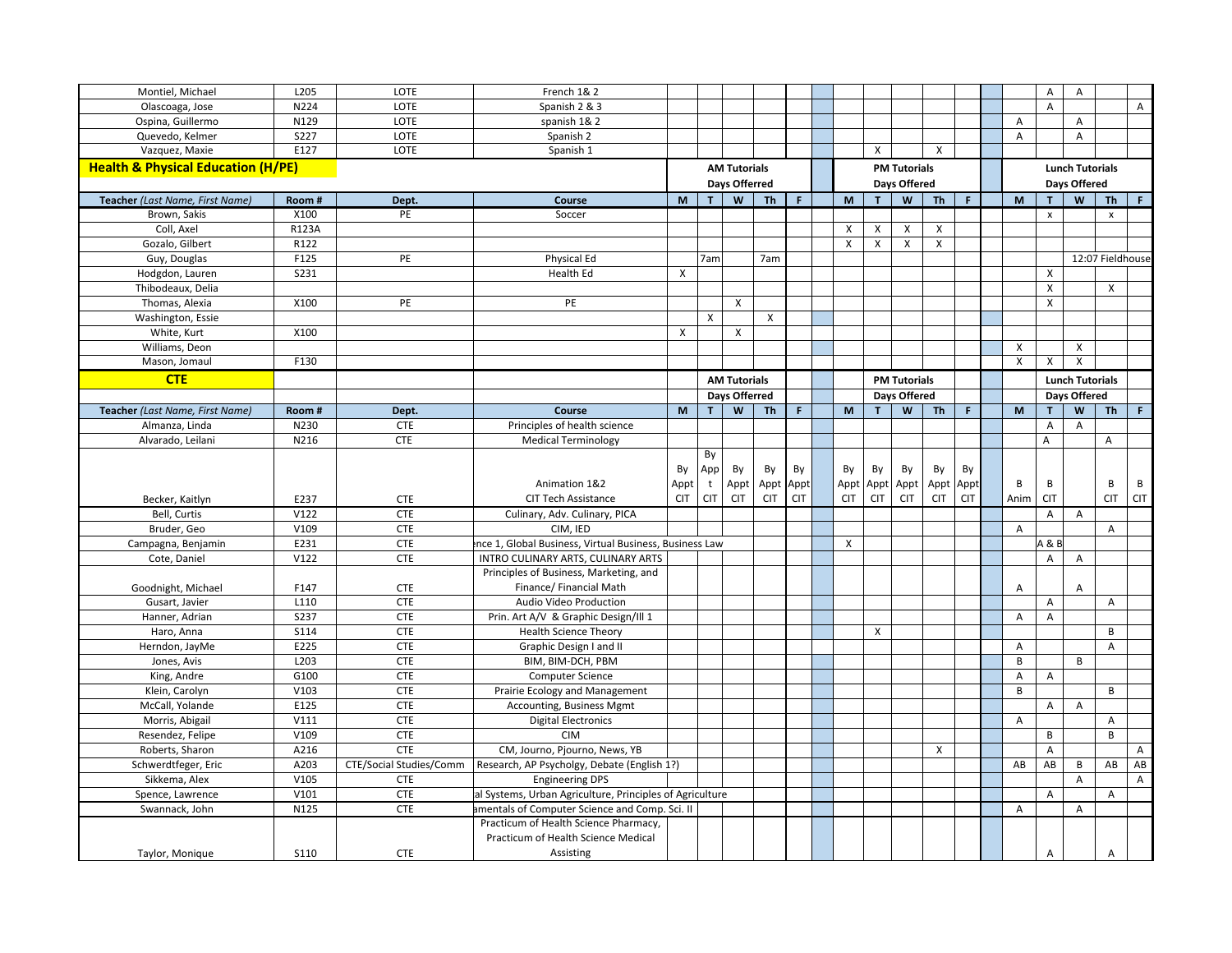| Montiel, Michael                                  | L205              | LOTE                    | French 1& 2                                                |            |            |                      |            |            |            |              |                     |              |             |                         | A                         | A                      |                    |                |
|---------------------------------------------------|-------------------|-------------------------|------------------------------------------------------------|------------|------------|----------------------|------------|------------|------------|--------------|---------------------|--------------|-------------|-------------------------|---------------------------|------------------------|--------------------|----------------|
| Olascoaga, Jose                                   | N224              | <b>LOTE</b>             | Spanish 2 & 3                                              |            |            |                      |            |            |            |              |                     |              |             |                         | $\boldsymbol{\mathsf{A}}$ |                        |                    | $\mathsf{A}$   |
| Ospina, Guillermo                                 | N129              | LOTE                    | spanish 1& 2                                               |            |            |                      |            |            |            |              |                     |              |             | $\overline{A}$          |                           | A                      |                    |                |
| Quevedo, Kelmer                                   | $\overline{5227}$ | LOTE                    | Spanish 2                                                  |            |            |                      |            |            |            |              |                     |              |             | Α                       |                           | A                      |                    |                |
| Vazquez, Maxie                                    | E127              | <b>LOTE</b>             | Spanish 1                                                  |            |            |                      |            |            |            | X            |                     | X            |             |                         |                           |                        |                    |                |
| <b>Health &amp; Physical Education (H/PE)</b>     |                   |                         |                                                            |            |            | <b>AM Tutorials</b>  |            |            |            |              | <b>PM Tutorials</b> |              |             |                         |                           | <b>Lunch Tutorials</b> |                    |                |
|                                                   |                   |                         |                                                            |            |            | <b>Days Offerred</b> |            |            |            |              | Days Offered        |              |             |                         | Days Offered              |                        |                    |                |
| Teacher (Last Name, First Name)                   | Room#             | Dept.                   | Course                                                     | M          | T.         | W                    | <b>Th</b>  | F.         | M          | T            | W                   | <b>Th</b>    | $\mathsf F$ | M                       |                           | W                      | <b>Th</b>          | F.             |
| Brown, Sakis                                      | X100              | PE                      | Soccer                                                     |            |            |                      |            |            |            |              |                     |              |             |                         | $\pmb{\times}$            |                        | $\pmb{\mathsf{x}}$ |                |
| Coll, Axel                                        | R123A             |                         |                                                            |            |            |                      |            |            | X          | X            | X                   | X            |             |                         |                           |                        |                    |                |
| Gozalo, Gilbert                                   | R122              |                         |                                                            |            |            |                      |            |            | X          | $\mathsf{x}$ | X                   | X            |             |                         |                           |                        |                    |                |
| Guy, Douglas                                      | F125              | PE                      | Physical Ed                                                |            | 7am        |                      | 7am        |            |            |              |                     |              |             |                         |                           |                        | 12:07 Fieldhouse   |                |
| Hodgdon, Lauren                                   | S231              |                         | Health Ed                                                  | X          |            |                      |            |            |            |              |                     |              |             |                         | X                         |                        |                    |                |
| Thibodeaux, Delia                                 |                   |                         |                                                            |            |            |                      |            |            |            |              |                     |              |             |                         | $\boldsymbol{\mathsf{X}}$ |                        | $\mathsf{x}$       |                |
| Thomas, Alexia                                    | X100              | PE                      | PE                                                         |            |            | X                    |            |            |            |              |                     |              |             |                         | $\pmb{\times}$            |                        |                    |                |
| Washington, Essie                                 |                   |                         |                                                            |            | X          |                      | Χ          |            |            |              |                     |              |             |                         |                           |                        |                    |                |
| White, Kurt                                       | X100              |                         |                                                            | X          |            | X                    |            |            |            |              |                     |              |             |                         |                           |                        |                    |                |
| Williams, Deon                                    |                   |                         |                                                            |            |            |                      |            |            |            |              |                     |              |             | X                       |                           | X                      |                    |                |
| Mason, Jomaul                                     | F130              |                         |                                                            |            |            |                      |            |            |            |              |                     |              |             | $\overline{\mathsf{x}}$ | X                         | X                      |                    |                |
| <b>CTE</b>                                        |                   |                         |                                                            |            |            | <b>AM Tutorials</b>  |            |            |            |              | <b>PM Tutorials</b> |              |             |                         |                           | <b>Lunch Tutorials</b> |                    |                |
|                                                   |                   |                         |                                                            |            |            | Days Offerred        |            |            |            |              | Days Offered        |              |             |                         |                           | Days Offered           |                    |                |
|                                                   |                   |                         | Course                                                     | M          | T          | W                    | <b>Th</b>  | F.         | M          | T            | W                   | <b>Th</b>    | $\mathsf F$ | M                       |                           | W                      | <b>Th</b>          | $\mathbf{F}$ . |
| Teacher (Last Name, First Name)<br>Almanza, Linda | Room#<br>N230     | Dept.<br><b>CTE</b>     |                                                            |            |            |                      |            |            |            |              |                     |              |             |                         | A                         | A                      |                    |                |
| Alvarado, Leilani                                 | N216              | <b>CTE</b>              | Principles of health science<br><b>Medical Terminology</b> |            |            |                      |            |            |            |              |                     |              |             |                         | A                         |                        | A                  |                |
|                                                   |                   |                         |                                                            |            | By         |                      |            |            |            |              |                     |              |             |                         |                           |                        |                    |                |
|                                                   |                   |                         |                                                            | By         | App        | By                   | By         | By         | By         | By           | By                  | By           | By          |                         |                           |                        |                    |                |
|                                                   |                   |                         | Animation 1&2                                              | Appt       | t          | Appt                 | Appt       | Appt       | Appt       | Appt         | Appt                |              | Appt Appt   | B                       | В                         |                        | B                  | B              |
| Becker, Kaitlyn                                   | E237              | <b>CTE</b>              | <b>CIT Tech Assistance</b>                                 | <b>CIT</b> | <b>CIT</b> | <b>CIT</b>           | <b>CIT</b> | <b>CIT</b> | <b>CIT</b> | <b>CIT</b>   | <b>CIT</b>          | <b>CIT</b>   | <b>CIT</b>  | Anim                    | <b>CIT</b>                |                        | <b>CIT</b>         | <b>CIT</b>     |
| Bell, Curtis                                      | V122              | <b>CTE</b>              | Culinary, Adv. Culinary, PICA                              |            |            |                      |            |            |            |              |                     |              |             |                         | A                         | A                      |                    |                |
| Bruder, Geo                                       | V109              | <b>CTE</b>              | CIM, IED                                                   |            |            |                      |            |            |            |              |                     |              |             | $\overline{A}$          |                           |                        | A                  |                |
| Campagna, Benjamin                                | E231              | <b>CTE</b>              | nce 1, Global Business, Virtual Business, Business Law     |            |            |                      |            |            | X          |              |                     |              |             |                         | A & E                     |                        |                    |                |
| Cote, Daniel                                      | V122              | <b>CTE</b>              | INTRO CULINARY ARTS, CULINARY ARTS                         |            |            |                      |            |            |            |              |                     |              |             |                         | A                         | Α                      |                    |                |
|                                                   |                   |                         | Principles of Business, Marketing, and                     |            |            |                      |            |            |            |              |                     |              |             |                         |                           |                        |                    |                |
| Goodnight, Michael                                | F147              | <b>CTE</b>              | Finance/ Financial Math                                    |            |            |                      |            |            |            |              |                     |              |             | Α                       |                           | Α                      |                    |                |
| Gusart, Javier                                    | L110              | <b>CTE</b>              | Audio Video Production                                     |            |            |                      |            |            |            |              |                     |              |             |                         | Α                         |                        | A                  |                |
| Hanner, Adrian                                    | S <sub>237</sub>  | <b>CTE</b>              | Prin. Art A/V & Graphic Design/Ill 1                       |            |            |                      |            |            |            |              |                     |              |             | A                       | A                         |                        |                    |                |
| Haro, Anna                                        | S114              | <b>CTE</b>              | <b>Health Science Theory</b>                               |            |            |                      |            |            |            | X            |                     |              |             |                         |                           |                        | B                  |                |
| Herndon, JayMe                                    | E225              | <b>CTE</b>              | Graphic Design I and II                                    |            |            |                      |            |            |            |              |                     |              |             | A                       |                           |                        | A                  |                |
| Jones, Avis                                       | L203              | <b>CTE</b>              | BIM, BIM-DCH, PBM                                          |            |            |                      |            |            |            |              |                     |              |             | B                       |                           | B                      |                    |                |
| King, Andre                                       | G100              | <b>CTE</b>              | Computer Science                                           |            |            |                      |            |            |            |              |                     |              |             | Α                       | Α                         |                        |                    |                |
| Klein, Carolyn                                    | V103              | <b>CTE</b>              | Prairie Ecology and Management                             |            |            |                      |            |            |            |              |                     |              |             | B                       |                           |                        | B                  |                |
| McCall, Yolande                                   | E125              | <b>CTE</b>              | Accounting, Business Mgmt                                  |            |            |                      |            |            |            |              |                     |              |             |                         | Α                         | Α                      |                    |                |
| Morris, Abigail                                   | V111              | <b>CTE</b>              | <b>Digital Electronics</b>                                 |            |            |                      |            |            |            |              |                     |              |             | A                       |                           |                        | А                  |                |
| Resendez, Felipe                                  | V109              | <b>CTE</b>              | <b>CIM</b>                                                 |            |            |                      |            |            |            |              |                     |              |             |                         | В                         |                        | В                  |                |
| Roberts, Sharon                                   | A216              | <b>CTE</b>              | CM, Journo, Pjourno, News, YB                              |            |            |                      |            |            |            |              |                     | $\mathsf{x}$ |             |                         | A                         |                        |                    | $\overline{A}$ |
| Schwerdtfeger, Eric                               | A203              | CTE/Social Studies/Comm | Research, AP Psycholgy, Debate (English 1?)                |            |            |                      |            |            |            |              |                     |              |             | AB                      | AB                        | B                      | AB                 | AB             |
| Sikkema, Alex                                     | V105              | <b>CTE</b>              | <b>Engineering DPS</b>                                     |            |            |                      |            |            |            |              |                     |              |             |                         |                           | Α                      |                    | A              |
| Spence, Lawrence                                  | V101              | <b>CTE</b>              | al Systems, Urban Agriculture, Principles of Agriculture   |            |            |                      |            |            |            |              |                     |              |             |                         | A                         |                        | A                  |                |
| Swannack, John                                    | N125              | <b>CTE</b>              | imentals of Computer Science and Comp. Sci. II             |            |            |                      |            |            |            |              |                     |              |             | $\overline{A}$          |                           | A                      |                    |                |
|                                                   |                   |                         | Practicum of Health Science Pharmacy,                      |            |            |                      |            |            |            |              |                     |              |             |                         |                           |                        |                    |                |
|                                                   |                   |                         | Practicum of Health Science Medical                        |            |            |                      |            |            |            |              |                     |              |             |                         |                           |                        |                    |                |
| Taylor, Monique                                   | <b>S110</b>       | <b>CTE</b>              | Assisting                                                  |            |            |                      |            |            |            |              |                     |              |             |                         | Α                         |                        | А                  |                |
|                                                   |                   |                         |                                                            |            |            |                      |            |            |            |              |                     |              |             |                         |                           |                        |                    |                |